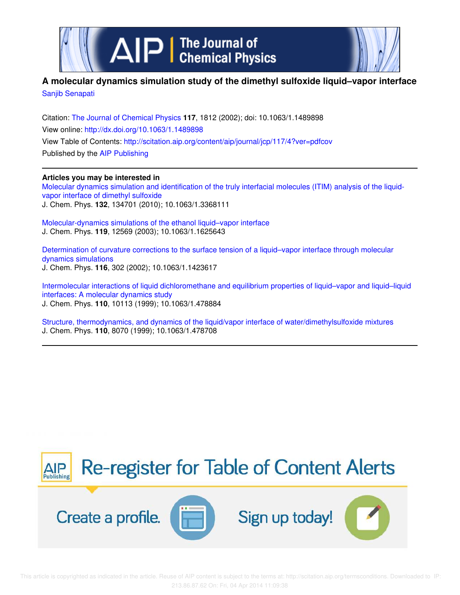

## **A molecular dynamics simulation study of the dimethyl sulfoxide liquid–vapor interface** Sanjib Senapati

Citation: The Journal of Chemical Physics **117**, 1812 (2002); doi: 10.1063/1.1489898 View online: http://dx.doi.org/10.1063/1.1489898 View Table of Contents: http://scitation.aip.org/content/aip/journal/jcp/117/4?ver=pdfcov Published by the AIP Publishing

### **Articles you may be interested in**

Molecular dynamics simulation and identification of the truly interfacial molecules (ITIM) analysis of the liquidvapor interface of dimethyl sulfoxide J. Chem. Phys. **132**, 134701 (2010); 10.1063/1.3368111

Molecular-dynamics simulations of the ethanol liquid–vapor interface J. Chem. Phys. **119**, 12569 (2003); 10.1063/1.1625643

Determination of curvature corrections to the surface tension of a liquid–vapor interface through molecular dynamics simulations J. Chem. Phys. **116**, 302 (2002); 10.1063/1.1423617

Intermolecular interactions of liquid dichloromethane and equilibrium properties of liquid–vapor and liquid–liquid interfaces: A molecular dynamics study J. Chem. Phys. **110**, 10113 (1999); 10.1063/1.478884

Structure, thermodynamics, and dynamics of the liquid/vapor interface of water/dimethylsulfoxide mixtures J. Chem. Phys. **110**, 8070 (1999); 10.1063/1.478708

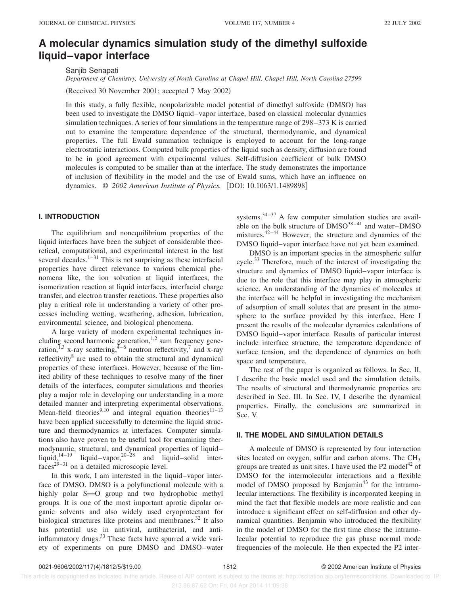# **A molecular dynamics simulation study of the dimethyl sulfoxide liquid–vapor interface**

Sanjib Senapati

*Department of Chemistry, University of North Carolina at Chapel Hill, Chapel Hill, North Carolina 27599*

(Received 30 November 2001; accepted 7 May 2002)

In this study, a fully flexible, nonpolarizable model potential of dimethyl sulfoxide (DMSO) has been used to investigate the DMSO liquid–vapor interface, based on classical molecular dynamics simulation techniques. A series of four simulations in the temperature range of 298–373 K is carried out to examine the temperature dependence of the structural, thermodynamic, and dynamical properties. The full Ewald summation technique is employed to account for the long-range electrostatic interactions. Computed bulk properties of the liquid such as density, diffusion are found to be in good agreement with experimental values. Self-diffusion coefficient of bulk DMSO molecules is computed to be smaller than at the interface. The study demonstrates the importance of inclusion of flexibility in the model and the use of Ewald sums, which have an influence on dynamics. © 2002 American Institute of Physics. [DOI: 10.1063/1.1489898]

### **I. INTRODUCTION**

The equilibrium and nonequilibrium properties of the liquid interfaces have been the subject of considerable theoretical, computational, and experimental interest in the last several decades. $1-31$  This is not surprising as these interfacial properties have direct relevance to various chemical phenomena like, the ion solvation at liquid interfaces, the isomerization reaction at liquid interfaces, interfacial charge transfer, and electron transfer reactions. These properties also play a critical role in understanding a variety of other processes including wetting, weathering, adhesion, lubrication, environmental science, and biological phenomena.

A large variety of modern experimental techniques including second harmonic generation,  $1,2$  sum frequency generation,  $^{1,3}$  x-ray scattering,  $^{4-6}$  neutron reflectivity,<sup>7</sup> and x-ray reflectivity<sup>8</sup> are used to obtain the structural and dynamical properties of these interfaces. However, because of the limited ability of these techniques to resolve many of the finer details of the interfaces, computer simulations and theories play a major role in developing our understanding in a more detailed manner and interpreting experimental observations. Mean-field theories $^{9,10}$  and integral equation theories<sup>11–13</sup> have been applied successfully to determine the liquid structure and thermodynamics at interfaces. Computer simulations also have proven to be useful tool for examining thermodynamic, structural, and dynamical properties of liquid– liquid, $14-19$  liquid–vapor, $20-28$  and liquid–solid inter $faces<sup>29-31</sup>$  on a detailed microscopic level.

In this work, I am interested in the liquid–vapor interface of DMSO. DMSO is a polyfunctional molecule with a highly polar  $S=O$  group and two hydrophobic methyl groups. It is one of the most important aprotic dipolar organic solvents and also widely used cryoprotectant for biological structures like proteins and membranes.<sup>32</sup> It also has potential use in antiviral, antibacterial, and antiinflammatory drugs.<sup>33</sup> These facts have spurred a wide variety of experiments on pure DMSO and DMSO–water

systems. $34-37$  A few computer simulation studies are available on the bulk structure of  $DMSO<sup>38-41</sup>$  and water– $DMSO$ mixtures. $42-44$  However, the structure and dynamics of the DMSO liquid–vapor interface have not yet been examined.

DMSO is an important species in the atmospheric sulfur cycle.<sup>33</sup> Therefore, much of the interest of investigating the structure and dynamics of DMSO liquid–vapor interface is due to the role that this interface may play in atmospheric science. An understanding of the dynamics of molecules at the interface will be helpful in investigating the mechanism of adsorption of small solutes that are present in the atmosphere to the surface provided by this interface. Here I present the results of the molecular dynamics calculations of DMSO liquid–vapor interface. Results of particular interest include interface structure, the temperature dependence of surface tension, and the dependence of dynamics on both space and temperature.

The rest of the paper is organized as follows. In Sec. II, I describe the basic model used and the simulation details. The results of structural and thermodynamic properties are described in Sec. III. In Sec. IV, I describe the dynamical properties. Finally, the conclusions are summarized in Sec. V.

#### **II. THE MODEL AND SIMULATION DETAILS**

A molecule of DMSO is represented by four interaction sites located on oxygen, sulfur and carbon atoms. The  $CH<sub>3</sub>$ groups are treated as unit sites. I have used the  $P2$  model<sup>42</sup> of DMSO for the intermolecular interactions and a flexible model of DMSO proposed by Benjamin<sup>43</sup> for the intramolecular interactions. The flexibility is incorporated keeping in mind the fact that flexible models are more realistic and can introduce a significant effect on self-diffusion and other dynamical quantities. Benjamin who introduced the flexibility in the model of DMSO for the first time chose the intramolecular potential to reproduce the gas phase normal mode frequencies of the molecule. He then expected the P2 inter-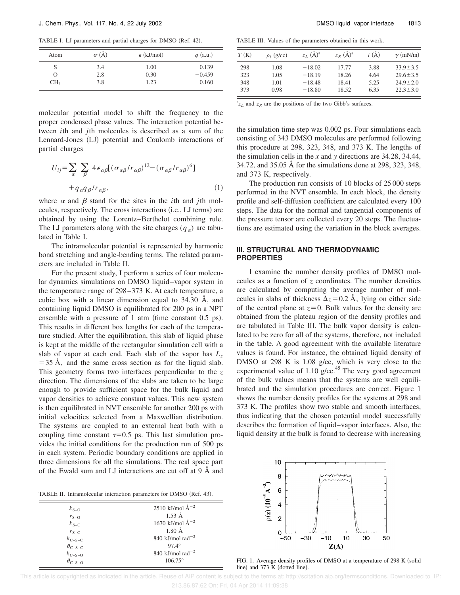TABLE I. LJ parameters and partial charges for DMSO (Ref. 42).

| Atom            | $\sigma$ (Å) | $\epsilon$ (kJ/mol) | $q$ (a.u.) |
|-----------------|--------------|---------------------|------------|
| S               | 3.4          | 1.00                | 0.139      |
| O               | 2.8          | 0.30                | $-0.459$   |
| CH <sub>3</sub> | 3.8          | 1.23                | 0.160      |

molecular potential model to shift the frequency to the proper condensed phase values. The interaction potential between *i*th and *j*th molecules is described as a sum of the Lennard-Jones (LJ) potential and Coulomb interactions of partial charges

$$
U_{ij} = \sum_{\alpha} \sum_{\beta} 4 \epsilon_{\alpha\beta} [(\sigma_{\alpha\beta} / r_{\alpha\beta})^{12} - (\sigma_{\alpha\beta} / r_{\alpha\beta})^6]
$$
  
+  $q_{\alpha} q_{\beta} / r_{\alpha\beta}$ , (1)

where  $\alpha$  and  $\beta$  stand for the sites in the *i*th and *j*th molecules, respectively. The cross interactions (i.e., LJ terms) are obtained by using the Lorentz–Berthelot combining rule. The LJ parameters along with the site charges  $(q_a)$  are tabulated in Table I.

The intramolecular potential is represented by harmonic bond stretching and angle-bending terms. The related parameters are included in Table II.

For the present study, I perform a series of four molecular dynamics simulations on DMSO liquid–vapor system in the temperature range of 298–373 K. At each temperature, a cubic box with a linear dimension equal to 34.30 Å, and containing liquid DMSO is equilibrated for 200 ps in a NPT ensemble with a pressure of 1 atm (time constant  $0.5$  ps). This results in different box lengths for each of the temperature studied. After the equilibration, this slab of liquid phase is kept at the middle of the rectangular simulation cell with a slab of vapor at each end. Each slab of the vapor has *L<sup>z</sup>*  $=$  35 Å, and the same cross section as for the liquid slab. This geometry forms two interfaces perpendicular to the *z* direction. The dimensions of the slabs are taken to be large enough to provide sufficient space for the bulk liquid and vapor densities to achieve constant values. This new system is then equilibrated in NVT ensemble for another 200 ps with initial velocities selected from a Maxwellian distribution. The systems are coupled to an external heat bath with a coupling time constant  $\tau=0.5$  ps. This last simulation provides the initial conditions for the production run of 500 ps in each system. Periodic boundary conditions are applied in three dimensions for all the simulations. The real space part of the Ewald sum and LJ interactions are cut off at 9 Å and

TABLE II. Intramolecular interaction parameters for DMSO (Ref. 43).

 $=$ 

| $k_{S-O}$                 | 2510 kJ/mol $\rm{\AA}^{-2}$               |
|---------------------------|-------------------------------------------|
| $r_{\rm S-O}$             | $1.53 \text{ Å}$                          |
| $k_{\text{S-C}}$          | 1670 kJ/mol $\rm{\AA}^{-2}$               |
| $r_{S-C}$                 | $1.80 \text{ Å}$                          |
| $k_{\text{C-S-C}}$        | 840 kJ/mol rad <sup><math>-2</math></sup> |
| $\theta_{\text{C-S-C}}$   | $97.4^\circ$                              |
| $k_{\text{C-S}-\text{O}}$ | 840 kJ/mol rad <sup>-2</sup>              |
| $\theta_{C-S-O}$          | $106.75^{\circ}$                          |

TABLE III. Values of the parameters obtained in this work.

| T(K) | $\rho_I$ (g/cc) | $Z_I$ $(\AA)^a$ | $Z_R$ $(\AA)^a$ | t(A) | $\gamma$ (mN/m) |
|------|-----------------|-----------------|-----------------|------|-----------------|
| 298  | 1.08            | $-18.02$        | 17.77           | 3.88 | $33.9 \pm 3.5$  |
| 323  | 1.05            | $-18.19$        | 18.26           | 4.64 | $29.6 \pm 3.5$  |
| 348  | 1.01            | $-18.48$        | 18.41           | 5.25 | $24.9 \pm 2.0$  |
| 373  | 0.98            | $-18.80$        | 18.52           | 6.35 | $22.3 \pm 3.0$  |

 $z_L$  and  $z_R$  are the positions of the two Gibb's surfaces.

the simulation time step was 0.002 ps. Four simulations each consisting of 343 DMSO molecules are performed following this procedure at 298, 323, 348, and 373 K. The lengths of the simulation cells in the *x* and *y* directions are 34.28, 34.44, 34.72, and 35.05 Å for the simulations done at 298, 323, 348, and 373 K, respectively.

The production run consists of 10 blocks of 25 000 steps performed in the NVT ensemble. In each block, the density profile and self-diffusion coefficient are calculated every 100 steps. The data for the normal and tangential components of the pressure tensor are collected every 20 steps. The fluctuations are estimated using the variation in the block averages.

#### **III. STRUCTURAL AND THERMODYNAMIC PROPERTIES**

I examine the number density profiles of DMSO molecules as a function of *z* coordinates. The number densities are calculated by computing the average number of molecules in slabs of thickness  $\Delta z$ =0.2 Å, lying on either side of the central plane at  $z=0$ . Bulk values for the density are obtained from the plateau region of the density profiles and are tabulated in Table III. The bulk vapor density is calculated to be zero for all of the systems, therefore, not included in the table. A good agreement with the available literature values is found. For instance, the obtained liquid density of DMSO at 298 K is 1.08 g/cc, which is very close to the experimental value of 1.10 g/cc.<sup>45</sup> The very good agreement of the bulk values means that the systems are well equilibrated and the simulation procedures are correct. Figure 1 shows the number density profiles for the systems at 298 and 373 K. The profiles show two stable and smooth interfaces, thus indicating that the chosen potential model successfully describes the formation of liquid–vapor interfaces. Also, the liquid density at the bulk is found to decrease with increasing



FIG. 1. Average density profiles of DMSO at a temperature of 298 K (solid line) and  $373 \text{ K}$  (dotted line).

 This article is copyrighted as indicated in the article. Reuse of AIP content is subject to the terms at: http://scitation.aip.org/termsconditions. Downloaded to IP: 213.86.87.62 On: Fri, 04 Apr 2014 11:09:38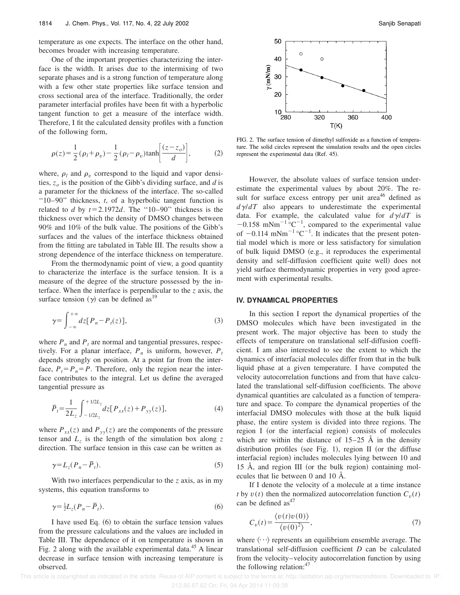temperature as one expects. The interface on the other hand, becomes broader with increasing temperature.

One of the important properties characterizing the interface is the width. It arises due to the intermixing of two separate phases and is a strong function of temperature along with a few other state properties like surface tension and cross sectional area of the interface. Traditionally, the order parameter interfacial profiles have been fit with a hyperbolic tangent function to get a measure of the interface width. Therefore, I fit the calculated density profiles with a function of the following form,

$$
\rho(z) = \frac{1}{2} (\rho_l + \rho_v) - \frac{1}{2} (\rho_l - \rho_v) \tanh\left[\frac{(z - z_o)}{d}\right],\tag{2}
$$

where,  $\rho_l$  and  $\rho_v$  correspond to the liquid and vapor densities,  $z_o$  is the position of the Gibb's dividing surface, and *d* is a parameter for the thickness of the interface. The so-called ''10–90'' thickness, *t*, of a hyperbolic tangent function is related to *d* by  $t=2.1972d$ . The "10–90" thickness is the thickness over which the density of DMSO changes between 90% and 10% of the bulk value. The positions of the Gibb's surfaces and the values of the interface thickness obtained from the fitting are tabulated in Table III. The results show a strong dependence of the interface thickness on temperature.

From the thermodynamic point of view, a good quantity to characterize the interface is the surface tension. It is a measure of the degree of the structure possessed by the interface. When the interface is perpendicular to the *z* axis, the surface tension  $(y)$  can be defined as<sup>19</sup>

$$
\gamma = \int_{-\infty}^{+\infty} dz [P_n - P_t(z)], \qquad (3)
$$

where  $P_n$  and  $P_t$  are normal and tangential pressures, respectively. For a planar interface,  $P_n$  is uniform, however,  $P_t$ depends strongly on position. At a point far from the interface,  $P_t = P_n = P$ . Therefore, only the region near the interface contributes to the integral. Let us define the averaged tangential pressure as

$$
\bar{P}_t = \frac{1}{2L_z} \int_{-1/2L_z}^{+1/2L_z} dz [P_{xx}(z) + P_{yy}(z)], \tag{4}
$$

where  $P_{xx}(z)$  and  $P_{yy}(z)$  are the components of the pressure tensor and  $L_z$  is the length of the simulation box along  $z$ direction. The surface tension in this case can be written as

$$
\gamma = L_z(P_n - \overline{P}_t). \tag{5}
$$

With two interfaces perpendicular to the *z* axis, as in my systems, this equation transforms to

$$
\gamma = \frac{1}{2} L_z (P_n - \overline{P}_t). \tag{6}
$$

I have used Eq.  $(6)$  to obtain the surface tension values from the pressure calculations and the values are included in Table III. The dependence of it on temperature is shown in Fig. 2 along with the available experimental data. $45$  A linear decrease in surface tension with increasing temperature is observed.



FIG. 2. The surface tension of dimethyl sulfoxide as a function of temperature. The solid circles represent the simulation results and the open circles represent the experimental data (Ref. 45).

However, the absolute values of surface tension underestimate the experimental values by about 20%. The result for surface excess entropy per unit area<sup>46</sup> defined as  $d\gamma/dT$  also appears to underestimate the experimental data. For example, the calculated value for  $d\gamma/dT$  is  $-0.158$  mNm<sup>-1</sup>°C<sup>-1</sup>, compared to the experimental value of  $-0.114$  mNm<sup>-1</sup> °C<sup>-1</sup>. It indicates that the present potential model which is more or less satisfactory for simulation of bulk liquid DMSO (e.g., it reproduces the experimental density and self-diffusion coefficient quite well) does not yield surface thermodynamic properties in very good agreement with experimental results.

#### **IV. DYNAMICAL PROPERTIES**

In this section I report the dynamical properties of the DMSO molecules which have been investigated in the present work. The major objective has been to study the effects of temperature on translational self-diffusion coefficient. I am also interested to see the extent to which the dynamics of interfacial molecules differ from that in the bulk liquid phase at a given temperature. I have computed the velocity autocorrelation functions and from that have calculated the translational self-diffusion coefficients. The above dynamical quantities are calculated as a function of temperature and space. To compare the dynamical properties of the interfacial DMSO molecules with those at the bulk liquid phase, the entire system is divided into three regions. The region I (or the interfacial region) consists of molecules which are within the distance of  $15-25$  Å in the density distribution profiles (see Fig. 1), region II (or the diffuse interfacial region) includes molecules lying between 10 and 15 Å, and region III (or the bulk region) containing molecules that lie between 0 and 10 Å.

If I denote the velocity of a molecule at a time instance *t* by  $v(t)$  then the normalized autocorrelation function  $C_v(t)$ can be defined  $as<sup>47</sup>$ 

$$
C_v(t) = \frac{\langle v(t)v(0) \rangle}{\langle v(0)^2 \rangle},\tag{7}
$$

where  $\langle \cdots \rangle$  represents an equilibrium ensemble average. The translational self-diffusion coefficient *D* can be calculated from the velocity–velocity autocorrelation function by using the following relation:<sup>47</sup>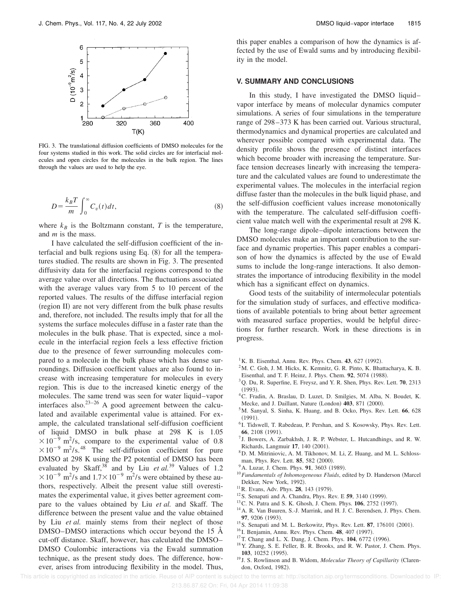

FIG. 3. The translational diffusion coefficients of DMSO molecules for the four systems studied in this work. The solid circles are for interfacial molecules and open circles for the molecules in the bulk region. The lines through the values are used to help the eye.

$$
D = \frac{k_B T}{m} \int_0^\infty C_v(t) dt,
$$
\n(8)

where  $k_B$  is the Boltzmann constant,  $T$  is the temperature, and *m* is the mass.

I have calculated the self-diffusion coefficient of the interfacial and bulk regions using Eq.  $(8)$  for all the temperatures studied. The results are shown in Fig. 3. The presented diffusivity data for the interfacial regions correspond to the average value over all directions. The fluctuations associated with the average values vary from 5 to 10 percent of the reported values. The results of the diffuse interfacial region (region II) are not very different from the bulk phase results and, therefore, not included. The results imply that for all the systems the surface molecules diffuse in a faster rate than the molecules in the bulk phase. That is expected, since a molecule in the interfacial region feels a less effective friction due to the presence of fewer surrounding molecules compared to a molecule in the bulk phase which has dense surroundings. Diffusion coefficient values are also found to increase with increasing temperature for molecules in every region. This is due to the increased kinetic energy of the molecules. The same trend was seen for water liquid–vapor interfaces also. $23-26$  A good agreement between the calculated and available experimental value is attained. For example, the calculated translational self-diffusion coefficient of liquid DMSO in bulk phase at 298 K is 1.05  $\times 10^{-9}$  m<sup>2</sup>/s, compare to the experimental value of 0.8  $\times 10^{-9}$  m<sup>2</sup>/s.<sup>48</sup> The self-diffusion coefficient for pure DMSO at 298 K using the P2 potential of DMSO has been evaluated by Skaff,<sup>38</sup> and by Liu *et al.*<sup>39</sup> Values of 1.2  $\times 10^{-9}$  m<sup>2</sup>/s and  $1.7\times 10^{-9}$  m<sup>2</sup>/s were obtained by these authors, respectively. Albeit the present value still overestimates the experimental value, it gives better agreement compare to the values obtained by Liu *et al.* and Skaff. The difference between the present value and the value obtained by Liu *et al.* mainly stems from their neglect of those DMSO–DMSO interactions which occur beyond the 15 Å cut-off distance. Skaff, however, has calculated the DMSO– DMSO Coulombic interactions via the Ewald summation technique, as the present study does. The difference, however, arises from introducing flexibility in the model. Thus, this paper enables a comparison of how the dynamics is affected by the use of Ewald sums and by introducing flexibility in the model.

#### **V. SUMMARY AND CONCLUSIONS**

In this study, I have investigated the DMSO liquid– vapor interface by means of molecular dynamics computer simulations. A series of four simulations in the temperature range of 298–373 K has been carried out. Various structural, thermodynamics and dynamical properties are calculated and wherever possible compared with experimental data. The density profile shows the presence of distinct interfaces which become broader with increasing the temperature. Surface tension decreases linearly with increasing the temperature and the calculated values are found to underestimate the experimental values. The molecules in the interfacial region diffuse faster than the molecules in the bulk liquid phase, and the self-diffusion coefficient values increase monotonically with the temperature. The calculated self-diffusion coefficient value match well with the experimental result at 298 K.

The long-range dipole–dipole interactions between the DMSO molecules make an important contribution to the surface and dynamic properties. This paper enables a comparison of how the dynamics is affected by the use of Ewald sums to include the long-range interactions. It also demonstrates the importance of introducing flexibility in the model which has a significant effect on dynamics.

Good tests of the suitability of intermolecular potentials for the simulation study of surfaces, and effective modifications of available potentials to bring about better agreement with measured surface properties, would be helpful directions for further research. Work in these directions is in progress.

- $^{1}$ K. B. Eisenthal, Annu. Rev. Phys. Chem. **43**, 627 (1992).
- <sup>2</sup>M. C. Goh, J. M. Hicks, K. Kemnitz, G. R. Pinto, K. Bhattacharya, K. B. Eisenthal, and T. F. Heinz, J. Phys. Chem. 92, 5074 (1988).
- <sup>3</sup>Q. Du, R. Superfine, E. Freysz, and Y. R. Shen, Phys. Rev. Lett. **70**, 2313
- $(1993)$ . <sup>4</sup>C. Fradin, A. Braslau, D. Luzet, D. Smilgies, M. Alba, N. Boudet, K.
- Mecke, and J. Daillant, Nature (London) 403, 871 (2000). <sup>5</sup>M. Sanyal, S. Sinha, K. Huang, and B. Ocko, Phys. Rev. Lett. **66**, 628
- $(1991).$
- <sup>6</sup> I. Tidswell, T. Rabedeau, P. Pershan, and S. Kosowsky, Phys. Rev. Lett. 66, 2108 (1991).
- <sup>7</sup> J. Bowers, A. Zarbakhsh, J. R. P. Webster, L. Hutcandhings, and R. W. Richards, Langmuir 17, 140 (2001).
- <sup>8</sup>D. M. Mitriniovic, A. M. Tikhonov, M. Li, Z. Huang, and M. L. Schlossman, Phys. Rev. Lett. **85**, 582 (2000).
- <sup>9</sup> A. Luzar, J. Chem. Phys. **91**, 3603 (1989).
- $10$ *Fundamentals of Inhomogeneous Fluids*, edited by D. Handerson (Marcel Dekker, New York, 1992).
- <sup>11</sup> R. Evans, Adv. Phys. **28**, 143 (1979).
- $12$ S. Senapati and A. Chandra, Phys. Rev. E 59, 3140 (1999).
- <sup>13</sup> C. N. Patra and S. K. Ghosh, J. Chem. Phys. **106**, 2752 (1997).
- <sup>14</sup>A. R. Van Buuren, S.-J. Marrink, and H. J. C. Berendsen, J. Phys. Chem. 97, 9206 (1993).
- <sup>15</sup> S. Senapati and M. L. Berkowitz, Phys. Rev. Lett. **87**, 176101 (2001).
- <sup>16</sup> I. Benjamin, Annu. Rev. Phys. Chem. **48**, 407 (1997).
- <sup>17</sup>T. Chang and L. X. Dang, J. Chem. Phys. **104**, 6772 (1996).
- <sup>18</sup>Y. Zhang, S. E. Feller, B. R. Brooks, and R. W. Pastor, J. Chem. Phys. 103, 10252 (1995).
- <sup>19</sup> J. S. Rowlinson and B. Widom, *Molecular Theory of Capillarity* (Clarendon, Oxford, 1982).